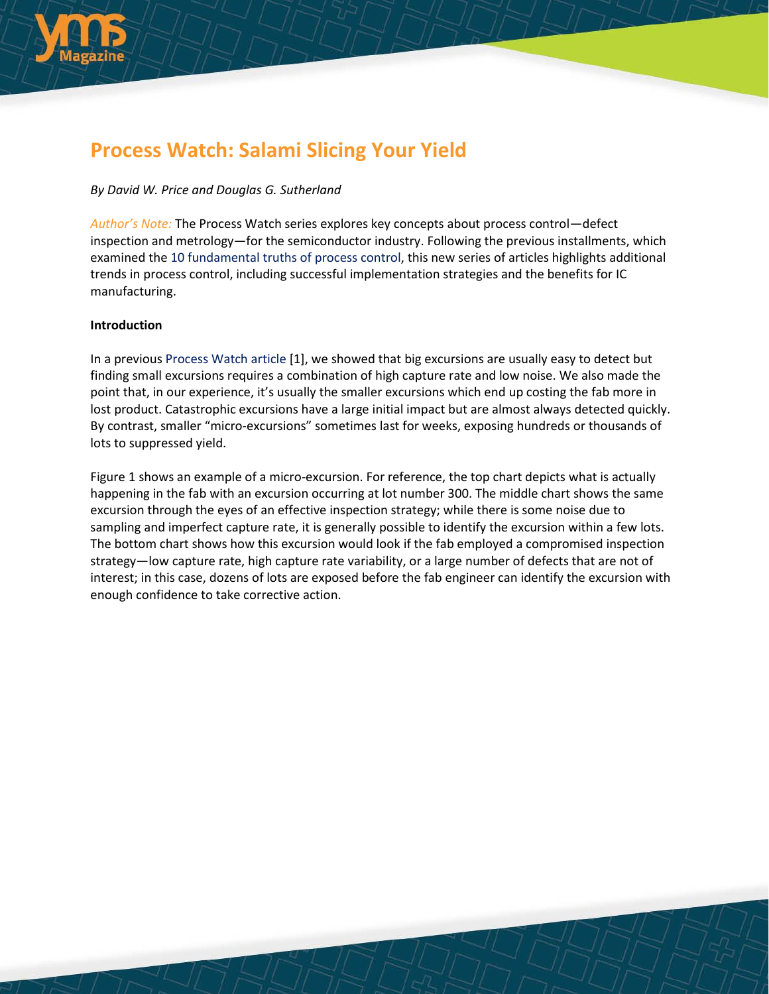

# **Process Watch: Salami Slicing Your Yield**

## *By David W. Price and Douglas G. Sutherland*

*Author's Note:* The Process Watch series explores key concepts about process control—defect inspection and metrology—for the semiconductor industry. Following the previous installments, which examined the 10 [fundamental](http://electroiq.com/blog/2014/07/process-watch-the-10-fundamental-truths-of-process-control-for-the-semiconductor-ic-industry/) truths of process control, this new series of articles highlights additional trends in process control, including successful implementation strategies and the benefits for IC manufacturing.

#### **Introduction**

In a previou[s Process](http://electroiq.com/blog/2015/03/process-watch-know-your-enemy/) Watch article [1], we showed that big excursions are usually easy to detect but finding small excursions requires a combination of high capture rate and low noise. We also made the point that, in our experience, it's usually the smaller excursions which end up costing the fab more in lost product. Catastrophic excursions have a large initial impact but are almost always detected quickly. By contrast, smaller "micro-excursions" sometimes last for weeks, exposing hundreds or thousands of lots to suppressed yield.

Figure 1 shows an example of a micro-excursion. For reference, the top chart depicts what is actually happening in the fab with an excursion occurring at lot number 300. The middle chart shows the same excursion through the eyes of an effective inspection strategy; while there is some noise due to sampling and imperfect capture rate, it is generally possible to identify the excursion within a few lots. The bottom chart shows how this excursion would look if the fab employed a compromised inspection strategy—low capture rate, high capture rate variability, or a large number of defects that are not of interest; in this case, dozens of lots are exposed before the fab engineer can identify the excursion with enough confidence to take corrective action.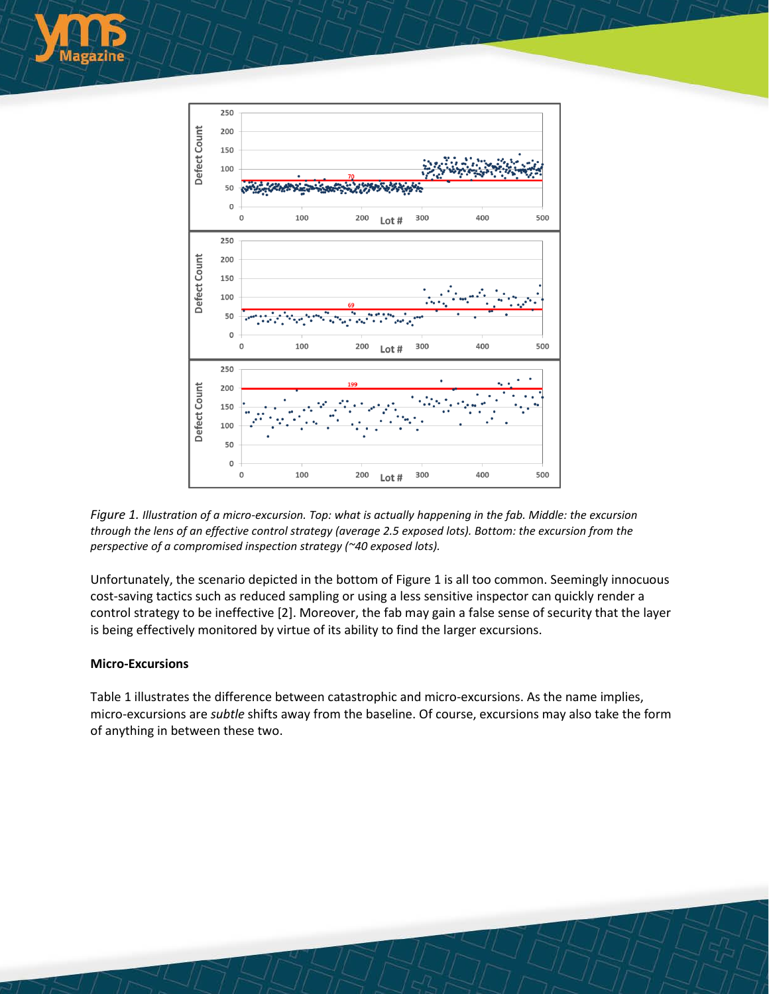



Unfortunately, the scenario depicted in the bottom of Figure 1 is all too common. Seemingly innocuous cost-saving tactics such as reduced sampling or using a less sensitive inspector can quickly render a control strategy to be ineffective [2]. Moreover, the fab may gain a false sense of security that the layer is being effectively monitored by virtue of its ability to find the larger excursions.

#### **Micro-Excursions**

Table 1 illustrates the difference between catastrophic and micro-excursions. As the name implies, micro-excursions are *subtle* shifts away from the baseline. Of course, excursions may also take the form of anything in between these two.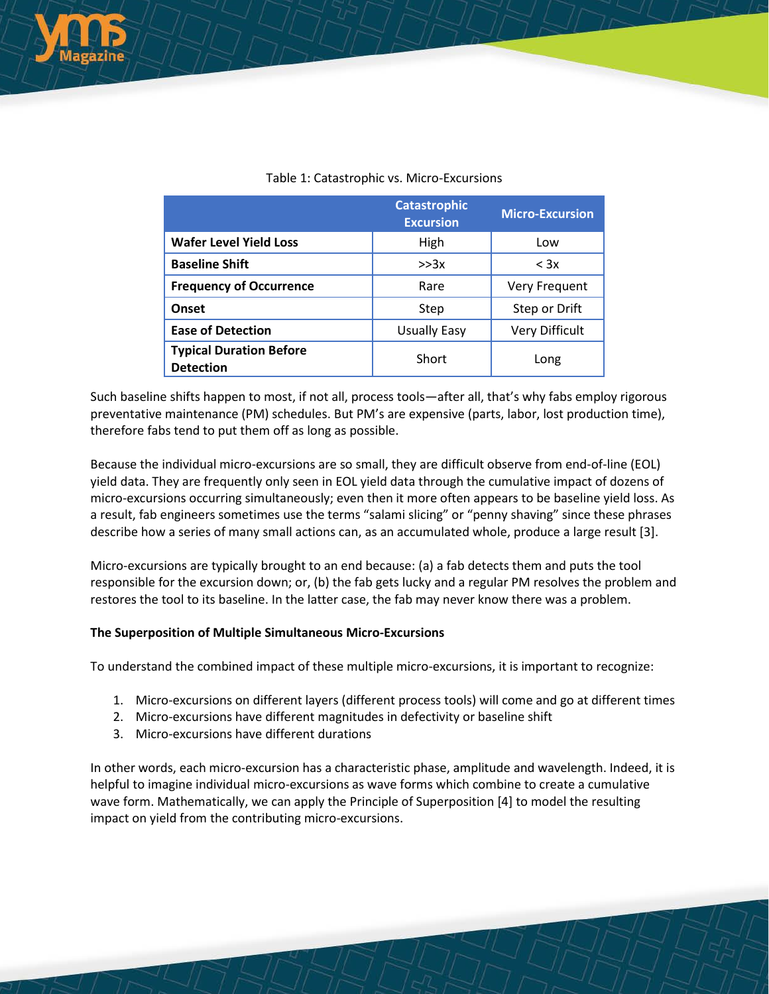

|                                                    | <b>Catastrophic</b><br><b>Excursion</b> | <b>Micro-Excursion</b> |
|----------------------------------------------------|-----------------------------------------|------------------------|
| <b>Wafer Level Yield Loss</b>                      | High                                    | Low                    |
| <b>Baseline Shift</b>                              | >>3x                                    | $<$ 3x                 |
| <b>Frequency of Occurrence</b>                     | Rare                                    | <b>Very Frequent</b>   |
| Onset                                              | Step                                    | Step or Drift          |
| <b>Ease of Detection</b>                           | <b>Usually Easy</b>                     | Very Difficult         |
| <b>Typical Duration Before</b><br><b>Detection</b> | Short                                   | Long                   |

# Table 1: Catastrophic vs. Micro-Excursions

Such baseline shifts happen to most, if not all, process tools—after all, that's why fabs employ rigorous preventative maintenance (PM) schedules. But PM's are expensive (parts, labor, lost production time), therefore fabs tend to put them off as long as possible.

Because the individual micro-excursions are so small, they are difficult observe from end-of-line (EOL) yield data. They are frequently only seen in EOL yield data through the cumulative impact of dozens of micro-excursions occurring simultaneously; even then it more often appears to be baseline yield loss. As a result, fab engineers sometimes use the terms "salami slicing" or "penny shaving" since these phrases describe how a series of many small actions can, as an accumulated whole, produce a large result [3].

Micro-excursions are typically brought to an end because: (a) a fab detects them and puts the tool responsible for the excursion down; or, (b) the fab gets lucky and a regular PM resolves the problem and restores the tool to its baseline. In the latter case, the fab may never know there was a problem.

#### **The Superposition of Multiple Simultaneous Micro-Excursions**

To understand the combined impact of these multiple micro-excursions, it is important to recognize:

- 1. Micro-excursions on different layers (different process tools) will come and go at different times
- 2. Micro-excursions have different magnitudes in defectivity or baseline shift
- 3. Micro-excursions have different durations

In other words, each micro-excursion has a characteristic phase, amplitude and wavelength. Indeed, it is helpful to imagine individual micro-excursions as wave forms which combine to create a cumulative wave form. Mathematically, we can apply the Principle of Superposition [4] to model the resulting impact on yield from the contributing micro-excursions.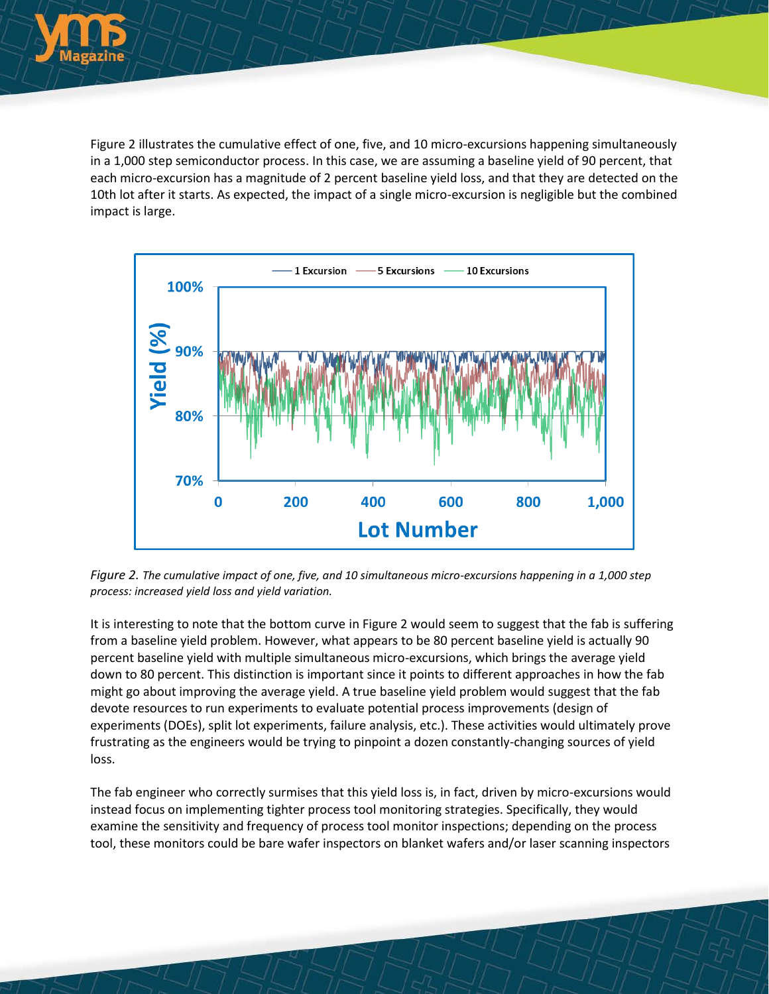

Figure 2 illustrates the cumulative effect of one, five, and 10 micro-excursions happening simultaneously in a 1,000 step semiconductor process. In this case, we are assuming a baseline yield of 90 percent, that each micro-excursion has a magnitude of 2 percent baseline yield loss, and that they are detected on the 10th lot after it starts. As expected, the impact of a single micro-excursion is negligible but the combined impact is large.



*Figure 2. The cumulative impact of one, five, and 10 simultaneous micro-excursions happening in a 1,000 step process: increased yield loss and yield variation.*

It is interesting to note that the bottom curve in Figure 2 would seem to suggest that the fab is suffering from a baseline yield problem. However, what appears to be 80 percent baseline yield is actually 90 percent baseline yield with multiple simultaneous micro-excursions, which brings the average yield down to 80 percent. This distinction is important since it points to different approaches in how the fab might go about improving the average yield. A true baseline yield problem would suggest that the fab devote resources to run experiments to evaluate potential process improvements (design of experiments (DOEs), split lot experiments, failure analysis, etc.). These activities would ultimately prove frustrating as the engineers would be trying to pinpoint a dozen constantly-changing sources of yield loss.

The fab engineer who correctly surmises that this yield loss is, in fact, driven by micro-excursions would instead focus on implementing tighter process tool monitoring strategies. Specifically, they would examine the sensitivity and frequency of process tool monitor inspections; depending on the process tool, these monitors could be bare wafer inspectors on blanket wafers and/or laser scanning inspectors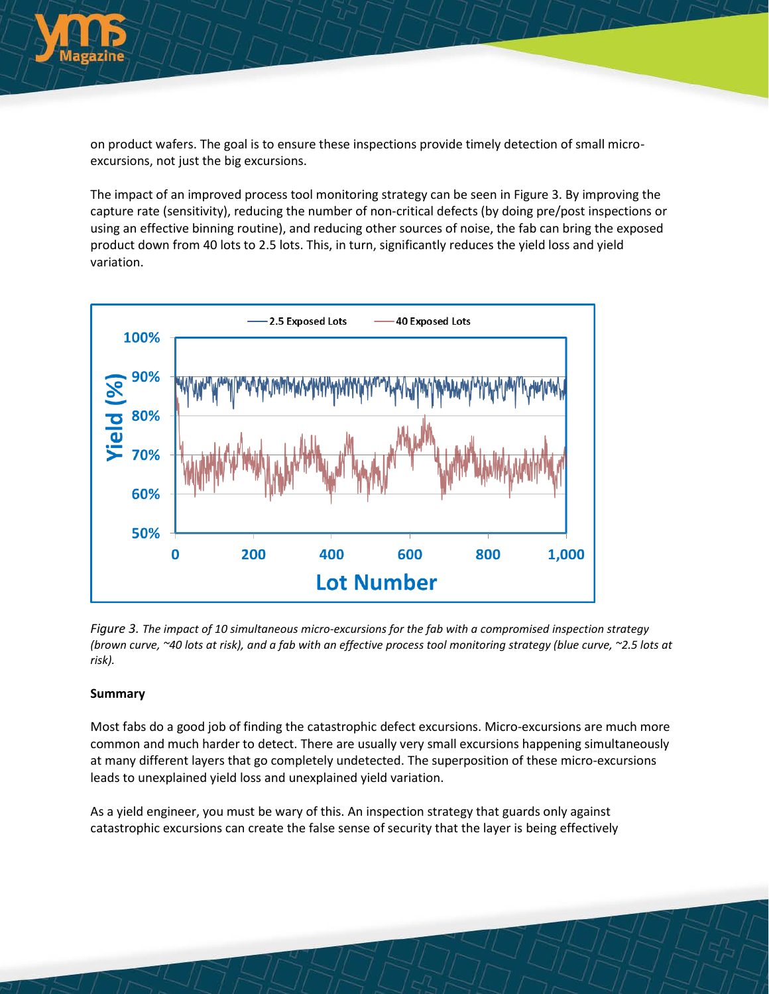

on product wafers. The goal is to ensure these inspections provide timely detection of small microexcursions, not just the big excursions.

The impact of an improved process tool monitoring strategy can be seen in Figure 3. By improving the capture rate (sensitivity), reducing the number of non-critical defects (by doing pre/post inspections or using an effective binning routine), and reducing other sources of noise, the fab can bring the exposed product down from 40 lots to 2.5 lots. This, in turn, significantly reduces the yield loss and yield variation.



*Figure 3. The impact of 10 simultaneous micro-excursions for the fab with a compromised inspection strategy (brown curve, ~40 lots at risk), and a fab with an effective process tool monitoring strategy (blue curve, ~2.5 lots at risk).*

#### **Summary**

Most fabs do a good job of finding the catastrophic defect excursions. Micro-excursions are much more common and much harder to detect. There are usually very small excursions happening simultaneously at many different layers that go completely undetected. The superposition of these micro-excursions leads to unexplained yield loss and unexplained yield variation.

As a yield engineer, you must be wary of this. An inspection strategy that guards only against catastrophic excursions can create the false sense of security that the layer is being effectively